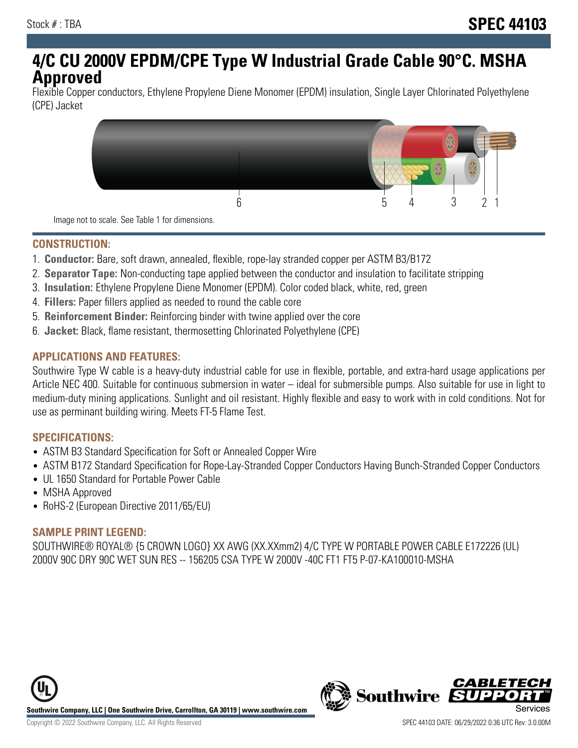# **4/C CU 2000V EPDM/CPE Type W Industrial Grade Cable 90°C. MSHA Approved**

Flexible Copper conductors, Ethylene Propylene Diene Monomer (EPDM) insulation, Single Layer Chlorinated Polyethylene (CPE) Jacket



Image not to scale. See Table 1 for dimensions.

# **CONSTRUCTION:**

- 1. **Conductor:** Bare, soft drawn, annealed, flexible, rope-lay stranded copper per ASTM B3/B172
- 2. **Separator Tape:** Non-conducting tape applied between the conductor and insulation to facilitate stripping
- 3. **Insulation:** Ethylene Propylene Diene Monomer (EPDM). Color coded black, white, red, green
- 4. **Fillers:** Paper fillers applied as needed to round the cable core
- 5. **Reinforcement Binder:** Reinforcing binder with twine applied over the core
- 6. **Jacket:** Black, flame resistant, thermosetting Chlorinated Polyethylene (CPE)

#### **APPLICATIONS AND FEATURES:**

Southwire Type W cable is a heavy-duty industrial cable for use in flexible, portable, and extra-hard usage applications per Article NEC 400. Suitable for continuous submersion in water – ideal for submersible pumps. Also suitable for use in light to medium-duty mining applications. Sunlight and oil resistant. Highly flexible and easy to work with in cold conditions. Not for use as perminant building wiring. Meets FT-5 Flame Test.

#### **SPECIFICATIONS:**

- ASTM B3 Standard Specification for Soft or Annealed Copper Wire
- ASTM B172 Standard Specification for Rope-Lay-Stranded Copper Conductors Having Bunch-Stranded Copper Conductors
- UL 1650 Standard for Portable Power Cable
- MSHA Approved
- RoHS-2 (European Directive 2011/65/EU)

# **SAMPLE PRINT LEGEND:**

SOUTHWIRE® ROYAL® {5 CROWN LOGO} XX AWG (XX.XXmm2) 4/C TYPE W PORTABLE POWER CABLE E172226 (UL) 2000V 90C DRY 90C WET SUN RES -- 156205 CSA TYPE W 2000V -40C FT1 FT5 P-07-KA100010-MSHA





CARLET